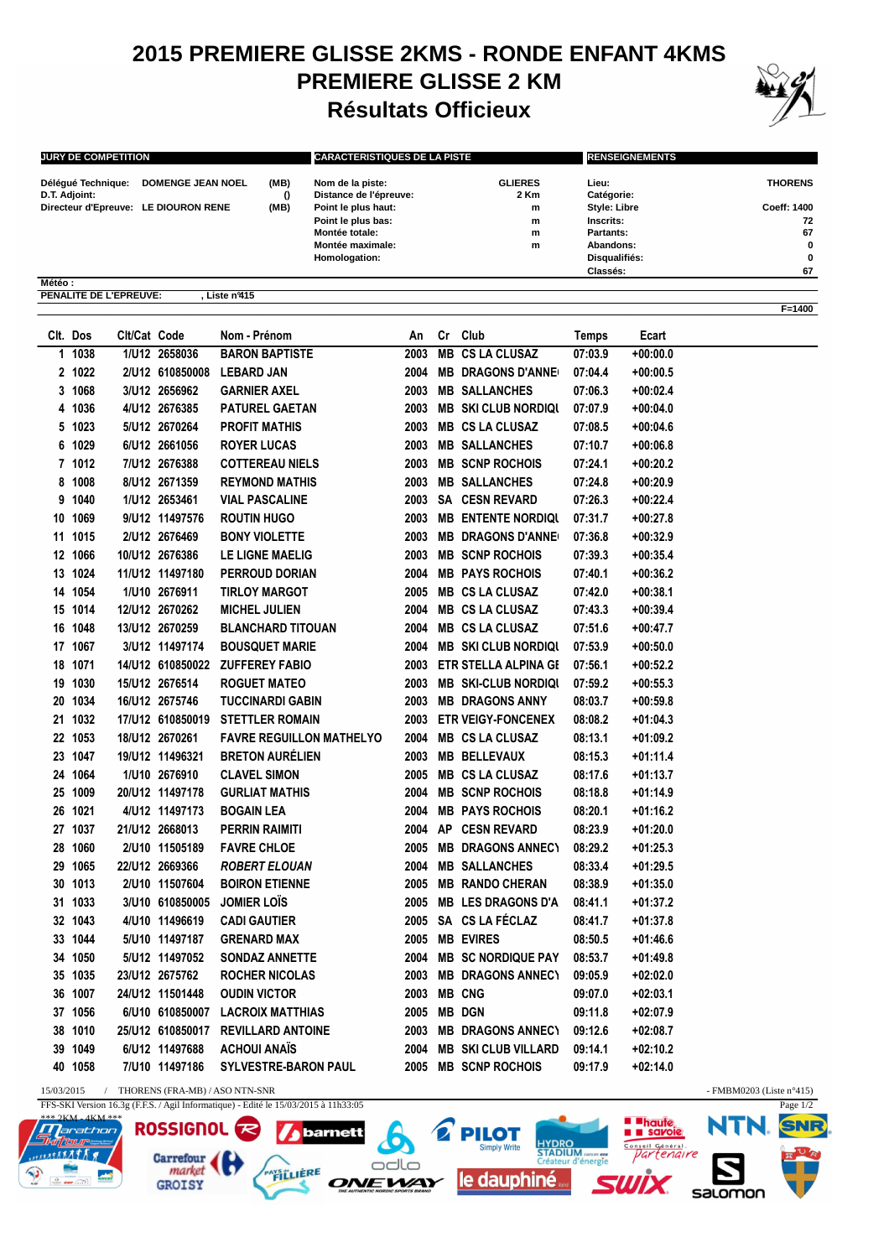## **2015 PREMIERE GLISSE 2KMS - RONDE ENFANT 4KMS PREMIERE GLISSE 2 KM Résultats Officieux**



**F=1400**

| <b>JURY DE COMPETITION</b>           |                          |      | <b>CARACTERISTIQUES DE LA PISTE</b>        |                        | <b>RENSEIGNEMENTS</b> |                |  |
|--------------------------------------|--------------------------|------|--------------------------------------------|------------------------|-----------------------|----------------|--|
| Délégué Technique:<br>D.T. Adjoint:  | <b>DOMENGE JEAN NOEL</b> | (MB) | Nom de la piste:<br>Distance de l'épreuve: | <b>GLIERES</b><br>2 Km | Lieu:<br>Catégorie:   | <b>THORENS</b> |  |
| Directeur d'Epreuve: LE DIOURON RENE |                          | (MB) | Point le plus haut:                        | m                      | <b>Style: Libre</b>   | Coeff: 1400    |  |
|                                      |                          |      | Point le plus bas:                         | m                      | Inscrits:             | 72             |  |
|                                      |                          |      | Montée totale:                             | m                      | Partants:             | 67             |  |
|                                      |                          |      | Montée maximale:                           | m                      | Abandons:             | 0              |  |
|                                      |                          |      | Homologation:                              |                        | Disqualifiés:         | 0              |  |
|                                      |                          |      |                                            |                        | Classés:              | 67             |  |
| Météo:                               |                          |      |                                            |                        |                       |                |  |
| PENALITE DE L'EPREUVE:               | Liste nº415              |      |                                            |                        |                       |                |  |

|    | Clt. Dos | Clt/Cat Code |                  | Nom - Prénom                    | An   |    | Cr Club                     | Temps   | Ecart      |
|----|----------|--------------|------------------|---------------------------------|------|----|-----------------------------|---------|------------|
|    | 1 1038   |              | 1/U12 2658036    | <b>BARON BAPTISTE</b>           | 2003 | MВ | <b>CS LA CLUSAZ</b>         | 07:03.9 | +00:00.0   |
|    | 2 1022   |              | 2/U12 610850008  | <b>LEBARD JAN</b>               | 2004 |    | <b>MB DRAGONS D'ANNE</b>    | 07:04.4 | +00:00.5   |
|    | 3 1068   |              | 3/U12 2656962    | <b>GARNIER AXEL</b>             | 2003 |    | <b>MB SALLANCHES</b>        | 07:06.3 | $+00:02.4$ |
| 4  | 1036     |              | 4/U12 2676385    | <b>PATUREL GAETAN</b>           | 2003 |    | <b>MB SKI CLUB NORDIQUE</b> | 07:07.9 | $+00:04.0$ |
| 5. | 1023     |              | 5/U12 2670264    | <b>PROFIT MATHIS</b>            | 2003 |    | <b>MB CS LA CLUSAZ</b>      | 07:08.5 | +00:04.6   |
|    | 6 1029   |              | 6/U12 2661056    | <b>ROYER LUCAS</b>              | 2003 |    | <b>MB SALLANCHES</b>        | 07:10.7 | +00:06.8   |
|    | 7 1012   |              | 7/U12 2676388    | <b>COTTEREAU NIELS</b>          | 2003 |    | <b>MB SCNP ROCHOIS</b>      | 07:24.1 | +00:20.2   |
| 8  | 1008     |              | 8/U12 2671359    | <b>REYMOND MATHIS</b>           | 2003 |    | <b>MB SALLANCHES</b>        | 07:24.8 | +00:20.9   |
| 9  | 1040     |              | 1/U12 2653461    | <b>VIAL PASCALINE</b>           | 2003 |    | <b>SA CESN REVARD</b>       | 07:26.3 | $+00:22.4$ |
| 10 | 1069     |              | 9/U12 11497576   | <b>ROUTIN HUGO</b>              | 2003 |    | <b>MB ENTENTE NORDIQUE</b>  | 07:31.7 | +00:27.8   |
|    | 11 1015  |              | 2/U12 2676469    | <b>BONY VIOLETTE</b>            | 2003 |    | <b>MB DRAGONS D'ANNE</b>    | 07:36.8 | +00:32.9   |
|    | 12 1066  |              | 10/U12 2676386   | LE LIGNE MAELIG                 | 2003 |    | <b>MB SCNP ROCHOIS</b>      | 07:39.3 | +00:35.4   |
| 13 | 1024     |              | 11/U12 11497180  | <b>PERROUD DORIAN</b>           | 2004 |    | <b>MB PAYS ROCHOIS</b>      | 07:40.1 | $+00:36.2$ |
| 14 | 1054     |              | 1/U10 2676911    | <b>TIRLOY MARGOT</b>            | 2005 |    | <b>MB CS LA CLUSAZ</b>      | 07:42.0 | +00:38.1   |
| 15 | 1014     |              | 12/U12 2670262   | <b>MICHEL JULIEN</b>            | 2004 |    | <b>MB CS LA CLUSAZ</b>      | 07:43.3 | +00:39.4   |
|    | 16 1048  |              | 13/U12 2670259   | <b>BLANCHARD TITOUAN</b>        | 2004 |    | <b>MB CS LA CLUSAZ</b>      | 07:51.6 | +00:47.7   |
|    | 17 1067  |              | 3/U12 11497174   | <b>BOUSQUET MARIE</b>           | 2004 |    | <b>MB SKI CLUB NORDIQU</b>  | 07:53.9 | +00:50.0   |
| 18 | 1071     |              |                  | 14/U12 610850022 ZUFFEREY FABIO | 2003 |    | ETR STELLA ALPINA GE        | 07:56.1 | $+00:52.2$ |
| 19 | 1030     |              | 15/U12 2676514   | <b>ROGUET MATEO</b>             | 2003 |    | <b>MB SKI-CLUB NORDIQI</b>  | 07:59.2 | $+00:55.3$ |
|    | 20 1034  |              | 16/U12 2675746   | <b>TUCCINARDI GABIN</b>         | 2003 |    | <b>MB DRAGONS ANNY</b>      | 08:03.7 | $+00:59.8$ |
|    | 21 1032  |              | 17/U12 610850019 | <b>STETTLER ROMAIN</b>          | 2003 |    | <b>ETR VEIGY-FONCENEX</b>   | 08:08.2 | +01:04.3   |
|    | 22 1053  |              | 18/U12 2670261   | <b>FAVRE REGUILLON MATHELYO</b> | 2004 |    | <b>MB CS LA CLUSAZ</b>      | 08:13.1 | $+01:09.2$ |
| 23 | 1047     |              | 19/U12 11496321  | <b>BRETON AURÉLIEN</b>          | 2003 |    | <b>MB BELLEVAUX</b>         | 08:15.3 | $+01:11.4$ |
|    | 24 1064  |              | 1/U10 2676910    | <b>CLAVEL SIMON</b>             | 2005 |    | <b>MB CS LA CLUSAZ</b>      | 08:17.6 | $+01:13.7$ |
| 25 | 1009     |              | 20/U12 11497178  | <b>GURLIAT MATHIS</b>           | 2004 |    | <b>MB SCNP ROCHOIS</b>      | 08:18.8 | $+01:14.9$ |
| 26 | 1021     |              | 4/U12 11497173   | <b>BOGAIN LEA</b>               | 2004 |    | <b>MB PAYS ROCHOIS</b>      | 08:20.1 | +01:16.2   |
|    | 27 1037  |              | 21/U12 2668013   | PERRIN RAIMITI                  |      |    | 2004 AP CESN REVARD         | 08:23.9 | +01:20.0   |
| 28 | 1060     |              | 2/U10 11505189   | <b>FAVRE CHLOE</b>              | 2005 |    | <b>MB DRAGONS ANNECT</b>    | 08:29.2 | $+01:25.3$ |
| 29 | 1065     |              | 22/U12 2669366   | <b>ROBERT ELOUAN</b>            |      |    | 2004 MB SALLANCHES          | 08:33.4 | $+01:29.5$ |
| 30 | 1013     |              | 2/U10 11507604   | <b>BOIRON ETIENNE</b>           | 2005 |    | <b>MB RANDO CHERAN</b>      | 08:38.9 | $+01:35.0$ |
| 31 | 1033     |              | 3/U10 610850005  | <b>JOMIER LOIS</b>              | 2005 |    | <b>MB LES DRAGONS D'A</b>   | 08:41.1 | +01:37.2   |
|    | 32 1043  |              | 4/U10 11496619   | <b>CADI GAUTIER</b>             |      |    | 2005 SA CS LA FÉCLAZ        | 08:41.7 | +01:37.8   |
|    | 33 1044  |              | 5/U10 11497187   | <b>GRENARD MAX</b>              |      |    | 2005 MB EVIRES              | 08:50.5 | +01:46.6   |
| 34 | 1050     |              | 5/U12 11497052   | <b>SONDAZ ANNETTE</b>           | 2004 |    | <b>MB SC NORDIQUE PAY</b>   | 08:53.7 | $+01:49.8$ |
| 35 | 1035     |              | 23/U12 2675762   | <b>ROCHER NICOLAS</b>           | 2003 |    | <b>MB DRAGONS ANNECT</b>    | 09:05.9 | $+02:02.0$ |
| 36 | 1007     |              | 24/U12 11501448  | <b>OUDIN VICTOR</b>             | 2003 |    | <b>MB CNG</b>               | 09:07.0 | +02:03.1   |
|    | 37 1056  |              | 6/U10 610850007  | <b>LACROIX MATTHIAS</b>         |      |    | 2005 MB DGN                 | 09:11.8 | +02:07.9   |
| 38 | 1010     |              | 25/U12 610850017 | <b>REVILLARD ANTOINE</b>        | 2003 |    | <b>MB DRAGONS ANNECT</b>    | 09:12.6 | $+02:08.7$ |
| 39 | 1049     |              | 6/U12 11497688   | <b>ACHOUI ANAIS</b>             | 2004 |    | <b>MB SKI CLUB VILLARD</b>  | 09:14.1 | +02:10.2   |
|    | 40 1058  |              | 7/U10 11497186   | <b>SYLVESTRE-BARON PAUL</b>     |      |    | 2005 MB SCNP ROCHOIS        | 09:17.9 | +02:14.0   |

 $\mathcal{D}$ 

odlo

**ONEWAY** 

**PILOT** 

lle dauphiné **.**.

**HYDRO**<br>STADIUM

15/03/2015 / THORENS (FRA-MB) / ASO NTN-SNR - FMBM0203 (Liste n°415)

**ROSSIGNOL** 

**GROISY** 

Carrefour

\*\*\* 2KM - 4KM \*\*\*

**MARATA R** 

**l**arathon

FFS-SKI Version 16.3g (F.F.S. / Agil Informatique) - Edité le 15/03/2015 à 11h33:05

**barnett** 

**PAYS LIERE** 



salomon